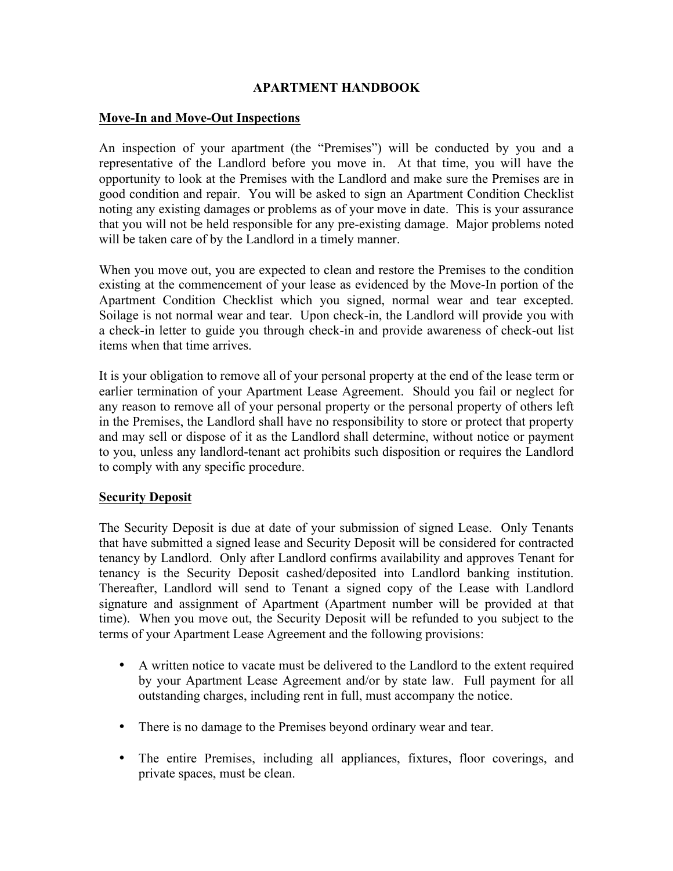#### **APARTMENT HANDBOOK**

#### **Move-In and Move-Out Inspections**

An inspection of your apartment (the "Premises") will be conducted by you and a representative of the Landlord before you move in. At that time, you will have the opportunity to look at the Premises with the Landlord and make sure the Premises are in good condition and repair. You will be asked to sign an Apartment Condition Checklist noting any existing damages or problems as of your move in date. This is your assurance that you will not be held responsible for any pre-existing damage. Major problems noted will be taken care of by the Landlord in a timely manner.

When you move out, you are expected to clean and restore the Premises to the condition existing at the commencement of your lease as evidenced by the Move-In portion of the Apartment Condition Checklist which you signed, normal wear and tear excepted. Soilage is not normal wear and tear. Upon check-in, the Landlord will provide you with a check-in letter to guide you through check-in and provide awareness of check-out list items when that time arrives.

It is your obligation to remove all of your personal property at the end of the lease term or earlier termination of your Apartment Lease Agreement. Should you fail or neglect for any reason to remove all of your personal property or the personal property of others left in the Premises, the Landlord shall have no responsibility to store or protect that property and may sell or dispose of it as the Landlord shall determine, without notice or payment to you, unless any landlord-tenant act prohibits such disposition or requires the Landlord to comply with any specific procedure.

# **Security Deposit**

The Security Deposit is due at date of your submission of signed Lease. Only Tenants that have submitted a signed lease and Security Deposit will be considered for contracted tenancy by Landlord. Only after Landlord confirms availability and approves Tenant for tenancy is the Security Deposit cashed/deposited into Landlord banking institution. Thereafter, Landlord will send to Tenant a signed copy of the Lease with Landlord signature and assignment of Apartment (Apartment number will be provided at that time). When you move out, the Security Deposit will be refunded to you subject to the terms of your Apartment Lease Agreement and the following provisions:

- A written notice to vacate must be delivered to the Landlord to the extent required by your Apartment Lease Agreement and/or by state law. Full payment for all outstanding charges, including rent in full, must accompany the notice.
- There is no damage to the Premises beyond ordinary wear and tear.
- The entire Premises, including all appliances, fixtures, floor coverings, and private spaces, must be clean.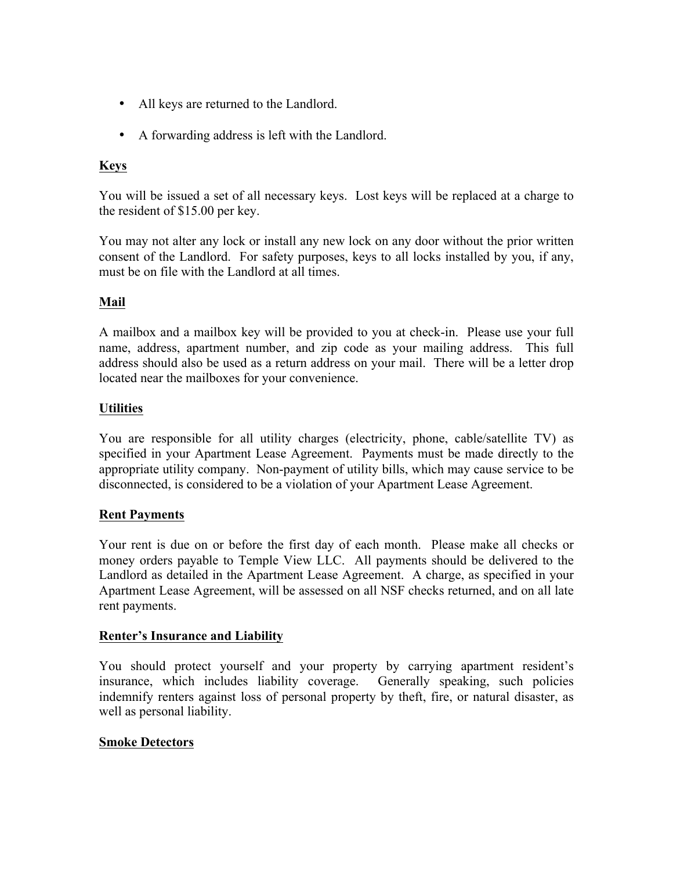- All keys are returned to the Landlord.
- A forwarding address is left with the Landlord.

# **Keys**

You will be issued a set of all necessary keys. Lost keys will be replaced at a charge to the resident of \$15.00 per key.

You may not alter any lock or install any new lock on any door without the prior written consent of the Landlord. For safety purposes, keys to all locks installed by you, if any, must be on file with the Landlord at all times.

# **Mail**

A mailbox and a mailbox key will be provided to you at check-in. Please use your full name, address, apartment number, and zip code as your mailing address. This full address should also be used as a return address on your mail. There will be a letter drop located near the mailboxes for your convenience.

# **Utilities**

You are responsible for all utility charges (electricity, phone, cable/satellite TV) as specified in your Apartment Lease Agreement. Payments must be made directly to the appropriate utility company. Non-payment of utility bills, which may cause service to be disconnected, is considered to be a violation of your Apartment Lease Agreement.

# **Rent Payments**

Your rent is due on or before the first day of each month. Please make all checks or money orders payable to Temple View LLC. All payments should be delivered to the Landlord as detailed in the Apartment Lease Agreement. A charge, as specified in your Apartment Lease Agreement, will be assessed on all NSF checks returned, and on all late rent payments.

#### **Renter's Insurance and Liability**

You should protect yourself and your property by carrying apartment resident's insurance, which includes liability coverage. Generally speaking, such policies indemnify renters against loss of personal property by theft, fire, or natural disaster, as well as personal liability.

# **Smoke Detectors**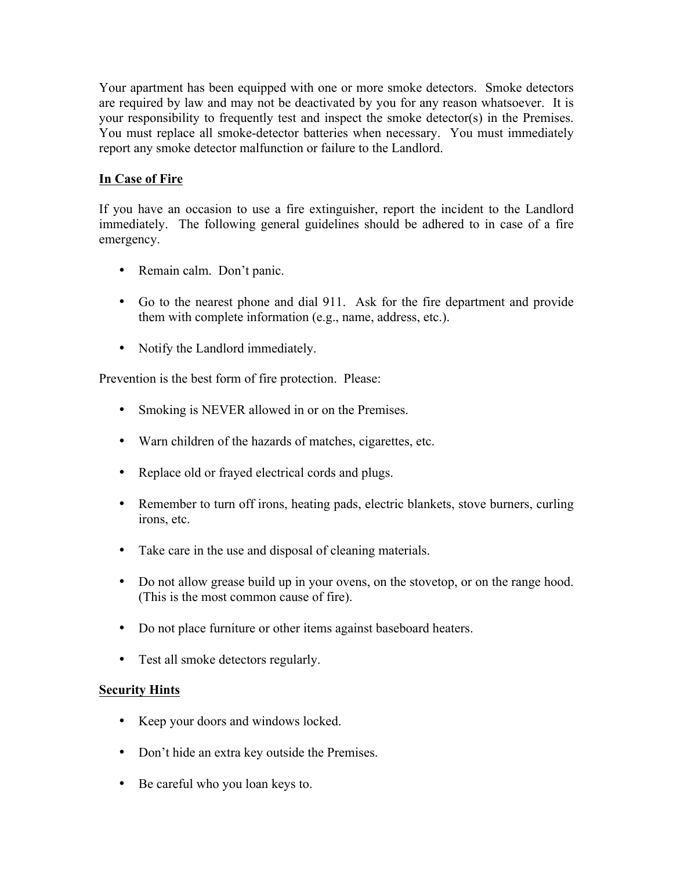Your apartment has been equipped with one or more smoke detectors. Smoke detectors are required by law and may not be deactivated by you for any reason whatsoever. It is your responsibility to frequently test and inspect the smoke detector(s) in the Premises. You must replace all smoke-detector batteries when necessary. You must immediately report any smoke detector malfunction or failure to the Landlord.

# **In Case of Fire**

If you have an occasion to use a fire extinguisher, report the incident to the Landlord immediately. The following general guidelines should be adhered to in case of a fire emergency.

- Remain calm. Don't panic.
- Go to the nearest phone and dial 911. Ask for the fire department and provide them with complete information (e.g., name, address, etc.).
- Notify the Landlord immediately.

Prevention is the best form of fire protection. Please:

- Smoking is NEVER allowed in or on the Premises.
- Warn children of the hazards of matches, cigarettes, etc.
- Replace old or frayed electrical cords and plugs.
- Remember to turn off irons, heating pads, electric blankets, stove burners, curling irons, etc.
- Take care in the use and disposal of cleaning materials.
- Do not allow grease build up in your ovens, on the stovetop, or on the range hood. (This is the most common cause of fire).
- Do not place furniture or other items against baseboard heaters.
- Test all smoke detectors regularly.

# **Security Hints**

- Keep your doors and windows locked.
- Don't hide an extra key outside the Premises.
- Be careful who you loan keys to.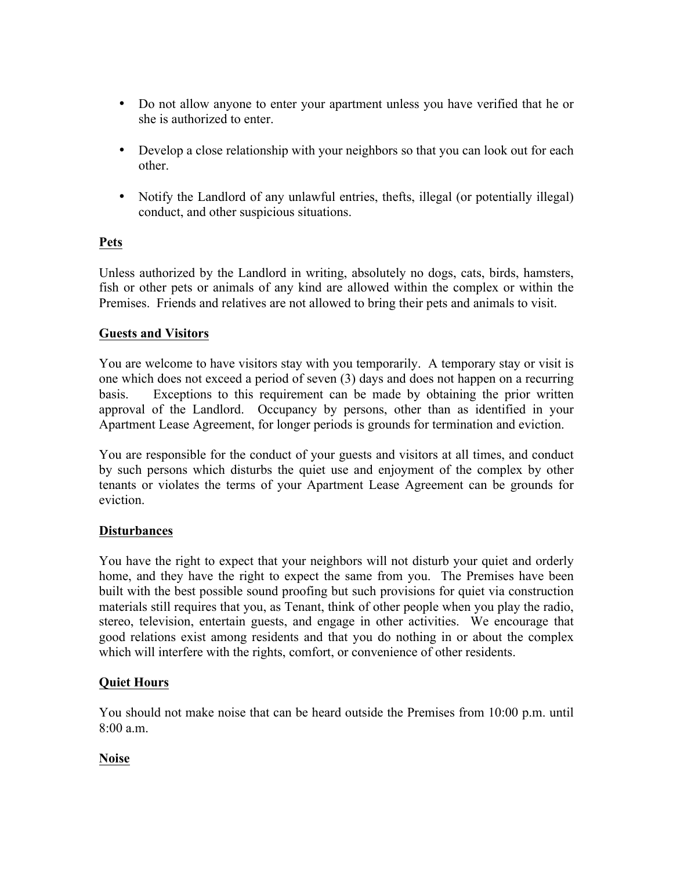- Do not allow anyone to enter your apartment unless you have verified that he or she is authorized to enter.
- Develop a close relationship with your neighbors so that you can look out for each other.
- Notify the Landlord of any unlawful entries, thefts, illegal (or potentially illegal) conduct, and other suspicious situations.

# **Pets**

Unless authorized by the Landlord in writing, absolutely no dogs, cats, birds, hamsters, fish or other pets or animals of any kind are allowed within the complex or within the Premises. Friends and relatives are not allowed to bring their pets and animals to visit.

# **Guests and Visitors**

You are welcome to have visitors stay with you temporarily. A temporary stay or visit is one which does not exceed a period of seven (3) days and does not happen on a recurring basis. Exceptions to this requirement can be made by obtaining the prior written approval of the Landlord. Occupancy by persons, other than as identified in your Apartment Lease Agreement, for longer periods is grounds for termination and eviction.

You are responsible for the conduct of your guests and visitors at all times, and conduct by such persons which disturbs the quiet use and enjoyment of the complex by other tenants or violates the terms of your Apartment Lease Agreement can be grounds for eviction.

# **Disturbances**

You have the right to expect that your neighbors will not disturb your quiet and orderly home, and they have the right to expect the same from you. The Premises have been built with the best possible sound proofing but such provisions for quiet via construction materials still requires that you, as Tenant, think of other people when you play the radio, stereo, television, entertain guests, and engage in other activities. We encourage that good relations exist among residents and that you do nothing in or about the complex which will interfere with the rights, comfort, or convenience of other residents.

# **Quiet Hours**

You should not make noise that can be heard outside the Premises from 10:00 p.m. until  $8:00a \text{ m}$ 

# **Noise**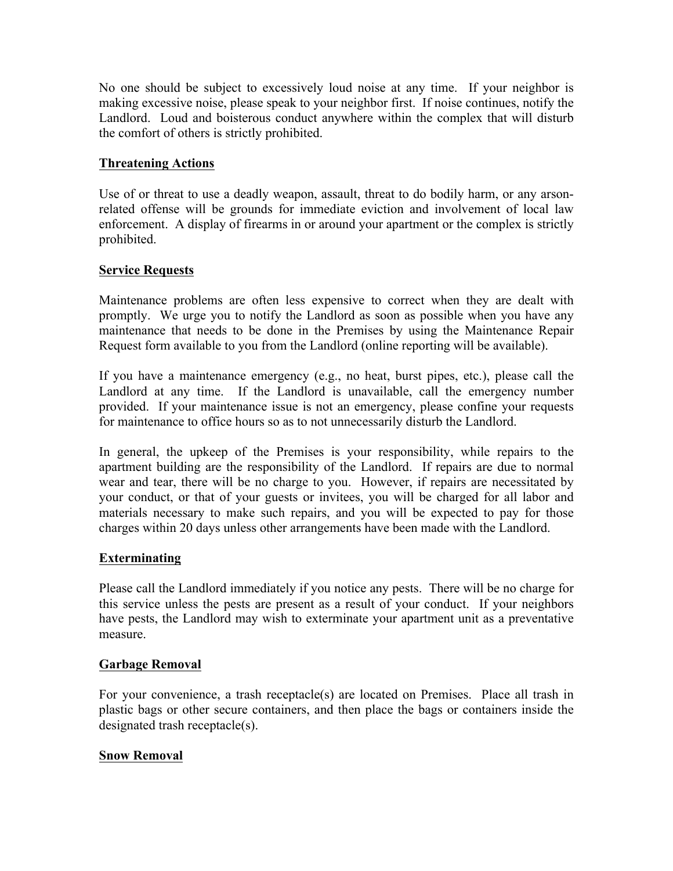No one should be subject to excessively loud noise at any time. If your neighbor is making excessive noise, please speak to your neighbor first. If noise continues, notify the Landlord. Loud and boisterous conduct anywhere within the complex that will disturb the comfort of others is strictly prohibited.

# **Threatening Actions**

Use of or threat to use a deadly weapon, assault, threat to do bodily harm, or any arsonrelated offense will be grounds for immediate eviction and involvement of local law enforcement. A display of firearms in or around your apartment or the complex is strictly prohibited.

#### **Service Requests**

Maintenance problems are often less expensive to correct when they are dealt with promptly. We urge you to notify the Landlord as soon as possible when you have any maintenance that needs to be done in the Premises by using the Maintenance Repair Request form available to you from the Landlord (online reporting will be available).

If you have a maintenance emergency (e.g., no heat, burst pipes, etc.), please call the Landlord at any time. If the Landlord is unavailable, call the emergency number provided. If your maintenance issue is not an emergency, please confine your requests for maintenance to office hours so as to not unnecessarily disturb the Landlord.

In general, the upkeep of the Premises is your responsibility, while repairs to the apartment building are the responsibility of the Landlord. If repairs are due to normal wear and tear, there will be no charge to you. However, if repairs are necessitated by your conduct, or that of your guests or invitees, you will be charged for all labor and materials necessary to make such repairs, and you will be expected to pay for those charges within 20 days unless other arrangements have been made with the Landlord.

#### **Exterminating**

Please call the Landlord immediately if you notice any pests. There will be no charge for this service unless the pests are present as a result of your conduct. If your neighbors have pests, the Landlord may wish to exterminate your apartment unit as a preventative measure.

#### **Garbage Removal**

For your convenience, a trash receptacle(s) are located on Premises. Place all trash in plastic bags or other secure containers, and then place the bags or containers inside the designated trash receptacle(s).

#### **Snow Removal**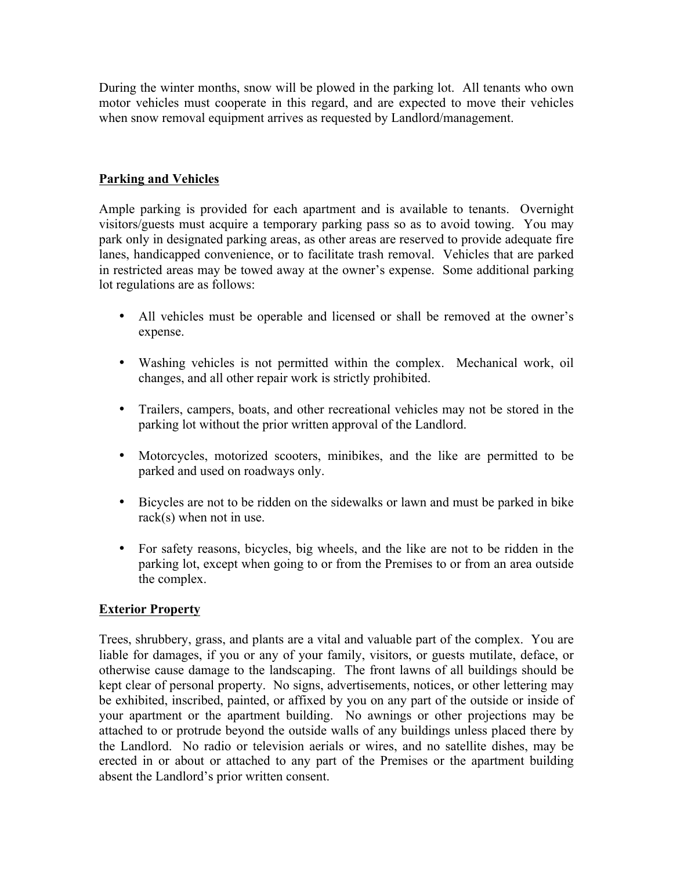During the winter months, snow will be plowed in the parking lot. All tenants who own motor vehicles must cooperate in this regard, and are expected to move their vehicles when snow removal equipment arrives as requested by Landlord/management.

# **Parking and Vehicles**

Ample parking is provided for each apartment and is available to tenants. Overnight visitors/guests must acquire a temporary parking pass so as to avoid towing. You may park only in designated parking areas, as other areas are reserved to provide adequate fire lanes, handicapped convenience, or to facilitate trash removal. Vehicles that are parked in restricted areas may be towed away at the owner's expense. Some additional parking lot regulations are as follows:

- All vehicles must be operable and licensed or shall be removed at the owner's expense.
- Washing vehicles is not permitted within the complex. Mechanical work, oil changes, and all other repair work is strictly prohibited.
- Trailers, campers, boats, and other recreational vehicles may not be stored in the parking lot without the prior written approval of the Landlord.
- Motorcycles, motorized scooters, minibikes, and the like are permitted to be parked and used on roadways only.
- Bicycles are not to be ridden on the sidewalks or lawn and must be parked in bike rack(s) when not in use.
- For safety reasons, bicycles, big wheels, and the like are not to be ridden in the parking lot, except when going to or from the Premises to or from an area outside the complex.

#### **Exterior Property**

Trees, shrubbery, grass, and plants are a vital and valuable part of the complex. You are liable for damages, if you or any of your family, visitors, or guests mutilate, deface, or otherwise cause damage to the landscaping. The front lawns of all buildings should be kept clear of personal property. No signs, advertisements, notices, or other lettering may be exhibited, inscribed, painted, or affixed by you on any part of the outside or inside of your apartment or the apartment building. No awnings or other projections may be attached to or protrude beyond the outside walls of any buildings unless placed there by the Landlord. No radio or television aerials or wires, and no satellite dishes, may be erected in or about or attached to any part of the Premises or the apartment building absent the Landlord's prior written consent.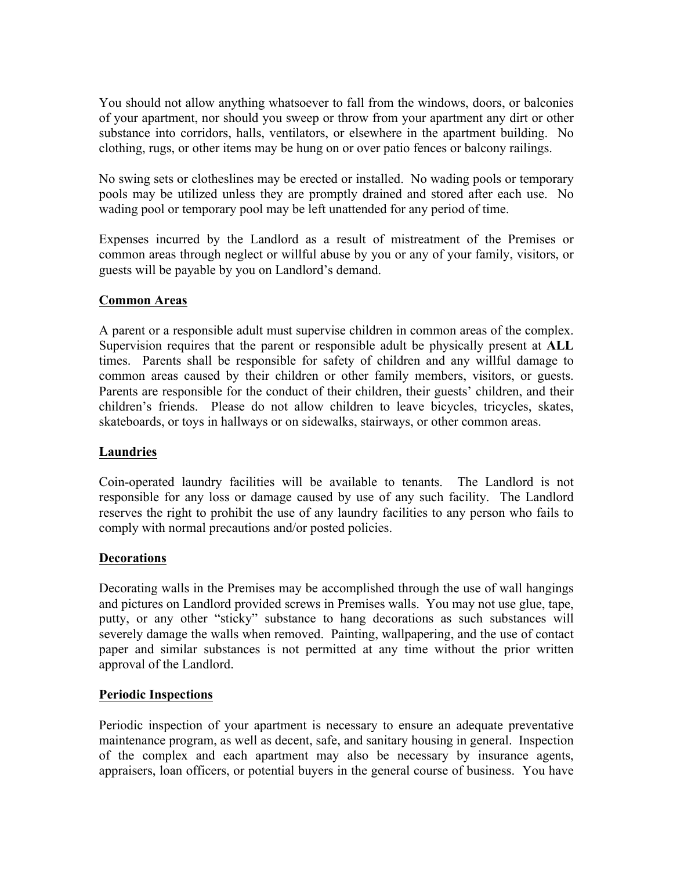You should not allow anything whatsoever to fall from the windows, doors, or balconies of your apartment, nor should you sweep or throw from your apartment any dirt or other substance into corridors, halls, ventilators, or elsewhere in the apartment building. No clothing, rugs, or other items may be hung on or over patio fences or balcony railings.

No swing sets or clotheslines may be erected or installed. No wading pools or temporary pools may be utilized unless they are promptly drained and stored after each use. No wading pool or temporary pool may be left unattended for any period of time.

Expenses incurred by the Landlord as a result of mistreatment of the Premises or common areas through neglect or willful abuse by you or any of your family, visitors, or guests will be payable by you on Landlord's demand.

# **Common Areas**

A parent or a responsible adult must supervise children in common areas of the complex. Supervision requires that the parent or responsible adult be physically present at **ALL** times. Parents shall be responsible for safety of children and any willful damage to common areas caused by their children or other family members, visitors, or guests. Parents are responsible for the conduct of their children, their guests' children, and their children's friends. Please do not allow children to leave bicycles, tricycles, skates, skateboards, or toys in hallways or on sidewalks, stairways, or other common areas.

#### **Laundries**

Coin-operated laundry facilities will be available to tenants. The Landlord is not responsible for any loss or damage caused by use of any such facility. The Landlord reserves the right to prohibit the use of any laundry facilities to any person who fails to comply with normal precautions and/or posted policies.

#### **Decorations**

Decorating walls in the Premises may be accomplished through the use of wall hangings and pictures on Landlord provided screws in Premises walls. You may not use glue, tape, putty, or any other "sticky" substance to hang decorations as such substances will severely damage the walls when removed. Painting, wallpapering, and the use of contact paper and similar substances is not permitted at any time without the prior written approval of the Landlord.

# **Periodic Inspections**

Periodic inspection of your apartment is necessary to ensure an adequate preventative maintenance program, as well as decent, safe, and sanitary housing in general. Inspection of the complex and each apartment may also be necessary by insurance agents, appraisers, loan officers, or potential buyers in the general course of business. You have